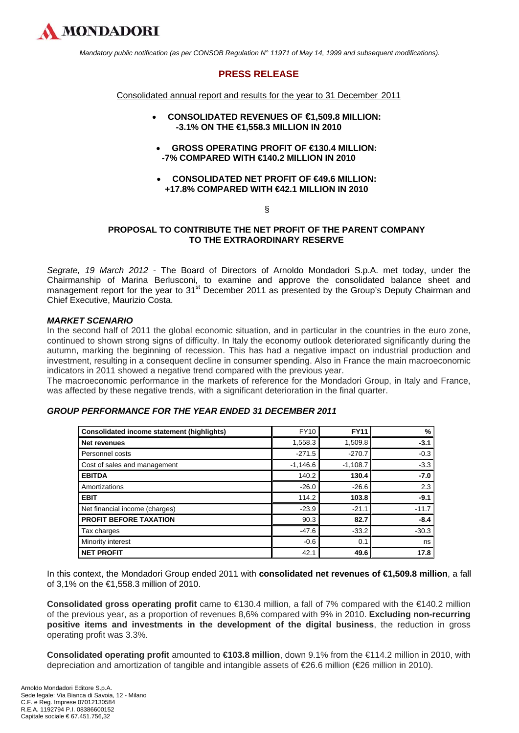

 *Mandatory public notification (as per CONSOB Regulation N° 11971 of May 14, 1999 and subsequent modifications).* 

# **PRESS RELEASE**

Consolidated annual report and results for the year to 31 December 2011

- **CONSOLIDATED REVENUES OF €1,509.8 MILLION: -3.1% ON THE €1,558.3 MILLION IN 2010**
- **GROSS OPERATING PROFIT OF €130.4 MILLION: -7% COMPARED WITH €140.2 MILLION IN 2010**
- **CONSOLIDATED NET PROFIT OF €49.6 MILLION: +17.8% COMPARED WITH €42.1 MILLION IN 2010**

### §

## **PROPOSAL TO CONTRIBUTE THE NET PROFIT OF THE PARENT COMPANY TO THE EXTRAORDINARY RESERVE**

*Segrate, 19 March 2012* - The Board of Directors of Arnoldo Mondadori S.p.A. met today, under the Chairmanship of Marina Berlusconi, to examine and approve the consolidated balance sheet and management report for the year to 31<sup>st</sup> December 2011 as presented by the Group's Deputy Chairman and Chief Executive, Maurizio Costa.

## *MARKET SCENARIO*

In the second half of 2011 the global economic situation, and in particular in the countries in the euro zone, continued to shown strong signs of difficulty. In Italy the economy outlook deteriorated significantly during the autumn, marking the beginning of recession. This has had a negative impact on industrial production and investment, resulting in a consequent decline in consumer spending. Also in France the main macroeconomic indicators in 2011 showed a negative trend compared with the previous year.

The macroeconomic performance in the markets of reference for the Mondadori Group, in Italy and France, was affected by these negative trends, with a significant deterioration in the final quarter.

## *GROUP PERFORMANCE FOR THE YEAR ENDED 31 DECEMBER 2011*

| <b>Consolidated income statement (highlights)</b> | <b>FY10</b> | <b>FY11</b> | %       |
|---------------------------------------------------|-------------|-------------|---------|
| Net revenues                                      | 1,558.3     | 1,509.8     | $-3.1$  |
| Personnel costs                                   | $-271.5$    | $-270.7$    | $-0.3$  |
| Cost of sales and management                      | $-1,146.6$  | $-1,108.7$  | $-3.3$  |
| <b>EBITDA</b>                                     | 140.2       | 130.4       | $-7.0$  |
| Amortizations                                     | $-26.0$     | $-26.6$     | 2.3     |
| <b>EBIT</b>                                       | 114.2       | 103.8       | $-9.1$  |
| Net financial income (charges)                    | $-23.9$     | $-21.1$     | $-11.7$ |
| <b>PROFIT BEFORE TAXATION</b>                     | 90.3        | 82.7        | $-8.4$  |
| Tax charges                                       | $-47.6$     | $-33.2$     | $-30.3$ |
| Minority interest                                 | $-0.6$      | 0.1         | ns      |
| <b>NET PROFIT</b>                                 | 42.1        | 49.6        | 17.8    |

In this context, the Mondadori Group ended 2011 with **consolidated net revenues of €1,509.8 million**, a fall of 3,1% on the €1,558.3 million of 2010.

**Consolidated gross operating profit** came to €130.4 million, a fall of 7% compared with the €140.2 million of the previous year, as a proportion of revenues 8,6% compared with 9% in 2010. **Excluding non-recurring positive items and investments in the development of the digital business**, the reduction in gross operating profit was 3.3%.

**Consolidated operating profit** amounted to **€103.8 million**, down 9.1% from the €114.2 million in 2010, with depreciation and amortization of tangible and intangible assets of €26.6 million (€26 million in 2010).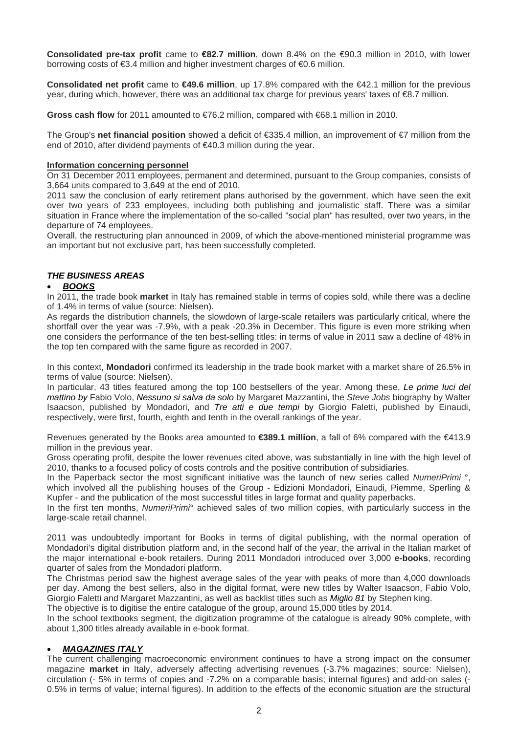**Consolidated pre-tax profit** came to **€82.7 million**, down 8.4% on the €90.3 million in 2010, with lower borrowing costs of €3.4 million and higher investment charges of €0.6 million.

**Consolidated net profit** came to **€49.6 million**, up 17.8% compared with the €42.1 million for the previous year, during which, however, there was an additional tax charge for previous years' taxes of €8.7 million.

**Gross cash flow** for 2011 amounted to €76.2 million, compared with €68.1 million in 2010.

The Group's **net financial position** showed a deficit of €335.4 million, an improvement of €7 million from the end of 2010, after dividend payments of €40.3 million during the year.

### **Information concerning personnel**

On 31 December 2011 employees, permanent and determined, pursuant to the Group companies, consists of 3,664 units compared to 3,649 at the end of 2010.

2011 saw the conclusion of early retirement plans authorised by the government, which have seen the exit over two years of 233 employees, including both publishing and journalistic staff. There was a similar situation in France where the implementation of the so-called "social plan" has resulted, over two years, in the departure of 74 employees.

Overall, the restructuring plan announced in 2009, of which the above-mentioned ministerial programme was an important but not exclusive part, has been successfully completed.

## *THE BUSINESS AREAS*

## • *BOOKS*

In 2011, the trade book **market** in Italy has remained stable in terms of copies sold, while there was a decline of 1.4% in terms of value (source: Nielsen).

As regards the distribution channels, the slowdown of large-scale retailers was particularly critical, where the shortfall over the year was -7.9%, with a peak -20.3% in December. This figure is even more striking when one considers the performance of the ten best-selling titles: in terms of value in 2011 saw a decline of 48% in the top ten compared with the same figure as recorded in 2007.

In this context, **Mondadori** confirmed its leadership in the trade book market with a market share of 26.5% in terms of value (source: Nielsen).

In particular, 43 titles featured among the top 100 bestsellers of the year. Among these, *Le prime luci del mattino by* Fabio Volo, *Nessuno si salva da solo* by Margaret Mazzantini, the *Steve Jobs* biography by Walter Isaacson, published by Mondadori, and *Tre atti e due tempi* by Giorgio Faletti, published by Einaudi, respectively, were first, fourth, eighth and tenth in the overall rankings of the year.

Revenues generated by the Books area amounted to **€389.1 million**, a fall of 6% compared with the €413.9 million in the previous year.

Gross operating profit, despite the lower revenues cited above, was substantially in line with the high level of 2010, thanks to a focused policy of costs controls and the positive contribution of subsidiaries.

In the Paperback sector the most significant initiative was the launch of new series called *NumeriPrimi* °, which involved all the publishing houses of the Group - Edizioni Mondadori, Einaudi, Piemme, Sperling & Kupfer - and the publication of the most successful titles in large format and quality paperbacks.

In the first ten months, *NumeriPrimi*° achieved sales of two million copies, with particularly success in the large-scale retail channel.

2011 was undoubtedly important for Books in terms of digital publishing, with the normal operation of Mondadori's digital distribution platform and, in the second half of the year, the arrival in the Italian market of the major international e-book retailers. During 2011 Mondadori introduced over 3,000 **e-books**, recording quarter of sales from the Mondadori platform.

The Christmas period saw the highest average sales of the year with peaks of more than 4,000 downloads per day. Among the best sellers, also in the digital format, were new titles by Walter Isaacson, Fabio Volo, Giorgio Faletti and Margaret Mazzantini, as well as backlist titles such as *Miglio 81* by Stephen king.

The objective is to digitise the entire catalogue of the group, around 15,000 titles by 2014.

In the school textbooks segment, the digitization programme of the catalogue is already 90% complete, with about 1,300 titles already available in e-book format.

## • *MAGAZINES ITALY*

The current challenging macroeconomic environment continues to have a strong impact on the consumer magazine **market** in Italy, adversely affecting advertising revenues (-3.7% magazines; source: Nielsen), circulation (- 5% in terms of copies and -7.2% on a comparable basis; internal figures) and add-on sales (- 0.5% in terms of value; internal figures). In addition to the effects of the economic situation are the structural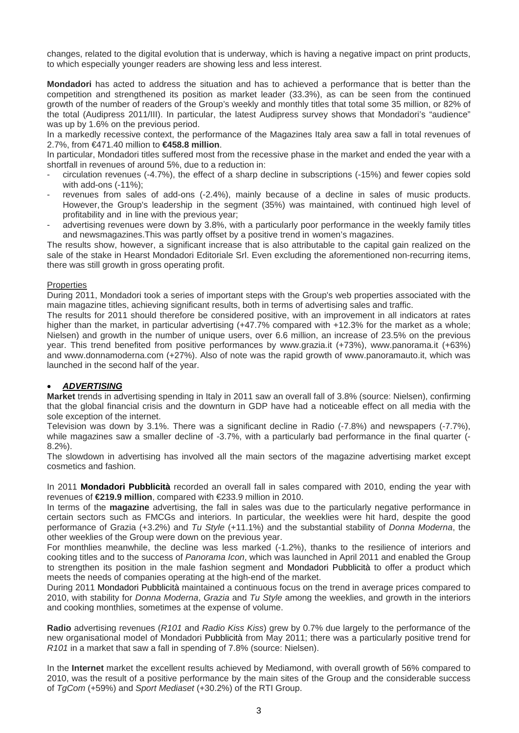changes, related to the digital evolution that is underway, which is having a negative impact on print products, to which especially younger readers are showing less and less interest.

**Mondadori** has acted to address the situation and has to achieved a performance that is better than the competition and strengthened its position as market leader (33.3%), as can be seen from the continued growth of the number of readers of the Group's weekly and monthly titles that total some 35 million, or 82% of the total (Audipress 2011/III). In particular, the latest Audipress survey shows that Mondadori's "audience" was up by 1.6% on the previous period.

In a markedly recessive context, the performance of the Magazines Italy area saw a fall in total revenues of 2.7%, from €471.40 million to **€458.8 million**.

In particular, Mondadori titles suffered most from the recessive phase in the market and ended the year with a shortfall in revenues of around 5%, due to a reduction in:

- circulation revenues (-4.7%), the effect of a sharp decline in subscriptions (-15%) and fewer copies sold with add-ons (-11%);
- revenues from sales of add-ons (-2.4%), mainly because of a decline in sales of music products. However, the Group's leadership in the segment (35%) was maintained, with continued high level of profitability and in line with the previous year;
- advertising revenues were down by 3.8%, with a particularly poor performance in the weekly family titles and newsmagazines.This was partly offset by a positive trend in women's magazines.

The results show, however, a significant increase that is also attributable to the capital gain realized on the sale of the stake in Hearst Mondadori Editoriale Srl. Even excluding the aforementioned non-recurring items, there was still growth in gross operating profit.

## Properties

During 2011, Mondadori took a series of important steps with the Group's web properties associated with the main magazine titles, achieving significant results, both in terms of advertising sales and traffic.

The results for 2011 should therefore be considered positive, with an improvement in all indicators at rates higher than the market, in particular advertising (+47.7% compared with +12.3% for the market as a whole; Nielsen) and growth in the number of unique users, over 6.6 million, an increase of 23.5% on the previous year. This trend benefited from positive performances by www.grazia.it (+73%), www.panorama.it (+63%) and www.donnamoderna.com (+27%). Also of note was the rapid growth of www.panoramauto.it, which was launched in the second half of the year.

## • *ADVERTISING*

**Market** trends in advertising spending in Italy in 2011 saw an overall fall of 3.8% (source: Nielsen), confirming that the global financial crisis and the downturn in GDP have had a noticeable effect on all media with the sole exception of the internet.

Television was down by 3.1%. There was a significant decline in Radio (-7.8%) and newspapers (-7.7%), while magazines saw a smaller decline of -3.7%, with a particularly bad performance in the final quarter (-8.2%).

The slowdown in advertising has involved all the main sectors of the magazine advertising market except cosmetics and fashion.

In 2011 **Mondadori Pubblicità** recorded an overall fall in sales compared with 2010, ending the year with revenues of **€219.9 million**, compared with €233.9 million in 2010.

In terms of the **magazine** advertising, the fall in sales was due to the particularly negative performance in certain sectors such as FMCGs and interiors. In particular, the weeklies were hit hard, despite the good performance of Grazia (+3.2%) and *Tu Style* (+11.1%) and the substantial stability of *Donna Moderna*, the other weeklies of the Group were down on the previous year.

For monthlies meanwhile, the decline was less marked (-1.2%), thanks to the resilience of interiors and cooking titles and to the success of *Panorama Icon*, which was launched in April 2011 and enabled the Group to strengthen its position in the male fashion segment and Mondadori Pubblicità to offer a product which meets the needs of companies operating at the high-end of the market.

During 2011 Mondadori Pubblicità maintained a continuous focus on the trend in average prices compared to 2010, with stability for *Donna Moderna*, *Grazia* and *Tu Style* among the weeklies, and growth in the interiors and cooking monthlies, sometimes at the expense of volume.

**Radio** advertising revenues (*R101* and *Radio Kiss Kiss*) grew by 0.7% due largely to the performance of the new organisational model of Mondadori Pubblicità from May 2011; there was a particularly positive trend for *R101* in a market that saw a fall in spending of 7.8% (source: Nielsen).

In the **Internet** market the excellent results achieved by Mediamond, with overall growth of 56% compared to 2010, was the result of a positive performance by the main sites of the Group and the considerable success of *TgCom* (+59%) and *Sport Mediaset* (+30.2%) of the RTI Group.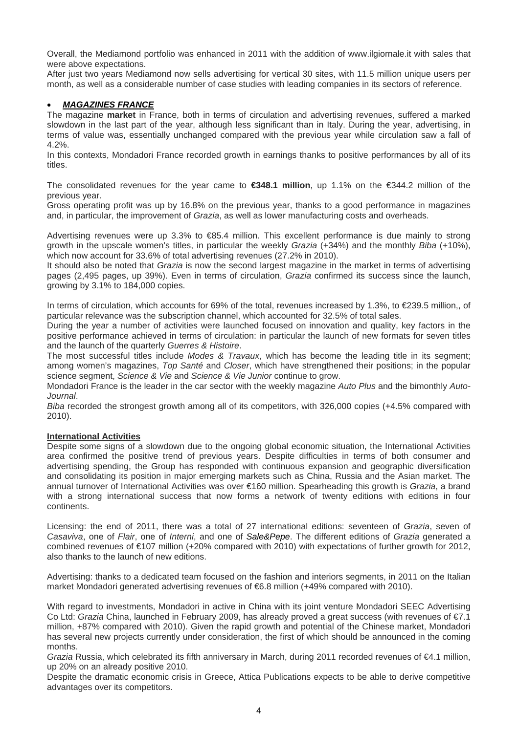Overall, the Mediamond portfolio was enhanced in 2011 with the addition of www.ilgiornale.it with sales that were above expectations.

After just two years Mediamond now sells advertising for vertical 30 sites, with 11.5 million unique users per month, as well as a considerable number of case studies with leading companies in its sectors of reference.

# • *MAGAZINES FRANCE*

The magazine **market** in France, both in terms of circulation and advertising revenues, suffered a marked slowdown in the last part of the year, although less significant than in Italy. During the year, advertising, in terms of value was, essentially unchanged compared with the previous year while circulation saw a fall of 4.2%.

In this contexts, Mondadori France recorded growth in earnings thanks to positive performances by all of its titles.

The consolidated revenues for the year came to **€348.1 million**, up 1.1% on the €344.2 million of the previous year.

Gross operating profit was up by 16.8% on the previous year, thanks to a good performance in magazines and, in particular, the improvement of *Grazia*, as well as lower manufacturing costs and overheads.

Advertising revenues were up 3.3% to €85.4 million. This excellent performance is due mainly to strong growth in the upscale women's titles, in particular the weekly *Grazia* (+34%) and the monthly *Biba* (+10%), which now account for 33.6% of total advertising revenues (27.2% in 2010).

It should also be noted that *Grazia* is now the second largest magazine in the market in terms of advertising pages (2,495 pages, up 39%). Even in terms of circulation, *Grazia* confirmed its success since the launch, growing by 3.1% to 184,000 copies.

In terms of circulation, which accounts for 69% of the total, revenues increased by 1.3%, to €239.5 million,, of particular relevance was the subscription channel, which accounted for 32.5% of total sales.

During the year a number of activities were launched focused on innovation and quality, key factors in the positive performance achieved in terms of circulation: in particular the launch of new formats for seven titles and the launch of the quarterly *Guerres & Histoire*.

The most successful titles include *Modes & Travaux*, which has become the leading title in its segment; among women's magazines, *Top Santé* and *Closer*, which have strengthened their positions; in the popular science segment, *Science & Vie* and *Science & Vie Junior* continue to grow.

Mondadori France is the leader in the car sector with the weekly magazine *Auto Plus* and the bimonthly *Auto-Journal*.

*Biba* recorded the strongest growth among all of its competitors, with 326,000 copies (+4.5% compared with 2010).

## **International Activities**

Despite some signs of a slowdown due to the ongoing global economic situation, the International Activities area confirmed the positive trend of previous years. Despite difficulties in terms of both consumer and advertising spending, the Group has responded with continuous expansion and geographic diversification and consolidating its position in major emerging markets such as China, Russia and the Asian market. The annual turnover of International Activities was over €160 million. Spearheading this growth is *Grazia*, a brand with a strong international success that now forms a network of twenty editions with editions in four continents.

Licensing: the end of 2011, there was a total of 27 international editions: seventeen of *Grazia*, seven of *Casaviva*, one of *Flair*, one of *Interni*, and one of *Sale&Pepe*. The different editions of *Grazia* generated a combined revenues of €107 million (+20% compared with 2010) with expectations of further growth for 2012, also thanks to the launch of new editions.

Advertising: thanks to a dedicated team focused on the fashion and interiors segments, in 2011 on the Italian market Mondadori generated advertising revenues of €6.8 million (+49% compared with 2010).

With regard to investments, Mondadori in active in China with its joint venture Mondadori SEEC Advertising Co Ltd: *Grazia* China, launched in February 2009, has already proved a great success (with revenues of €7.1 million, +87% compared with 2010). Given the rapid growth and potential of the Chinese market, Mondadori has several new projects currently under consideration, the first of which should be announced in the coming months.

*Grazia* Russia, which celebrated its fifth anniversary in March, during 2011 recorded revenues of €4.1 million, up 20% on an already positive 2010.

Despite the dramatic economic crisis in Greece, Attica Publications expects to be able to derive competitive advantages over its competitors.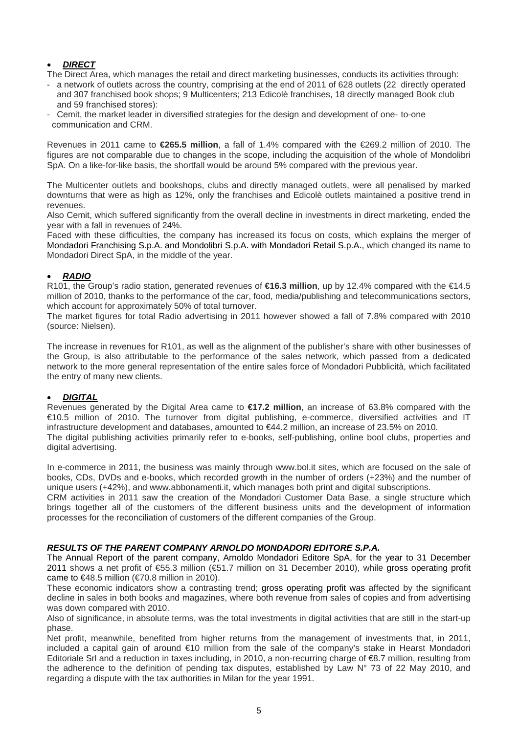# • *DIRECT*

The Direct Area, which manages the retail and direct marketing businesses, conducts its activities through:

- a network of outlets across the country, comprising at the end of 2011 of 628 outlets (22 directly operated and 307 franchised book shops; 9 Multicenters; 213 Edicolè franchises, 18 directly managed Book club and 59 franchised stores):
- Cemit, the market leader in diversified strategies for the design and development of one- to-one communication and CRM.

Revenues in 2011 came to **€265.5 million**, a fall of 1.4% compared with the €269.2 million of 2010. The figures are not comparable due to changes in the scope, including the acquisition of the whole of Mondolibri SpA. On a like-for-like basis, the shortfall would be around 5% compared with the previous year.

The Multicenter outlets and bookshops, clubs and directly managed outlets, were all penalised by marked downturns that were as high as 12%, only the franchises and Edicolè outlets maintained a positive trend in revenues.

Also Cemit, which suffered significantly from the overall decline in investments in direct marketing, ended the year with a fall in revenues of 24%.

Faced with these difficulties, the company has increased its focus on costs, which explains the merger of Mondadori Franchising S.p.A. and Mondolibri S.p.A. with Mondadori Retail S.p.A., which changed its name to Mondadori Direct SpA, in the middle of the year.

# • *RADIO*

R101, the Group's radio station, generated revenues of **€16.3 million**, up by 12.4% compared with the €14.5 million of 2010, thanks to the performance of the car, food, media/publishing and telecommunications sectors, which account for approximately 50% of total turnover.

The market figures for total Radio advertising in 2011 however showed a fall of 7.8% compared with 2010 (source: Nielsen).

The increase in revenues for R101, as well as the alignment of the publisher's share with other businesses of the Group, is also attributable to the performance of the sales network, which passed from a dedicated network to the more general representation of the entire sales force of Mondadori Pubblicità, which facilitated the entry of many new clients.

## • *DIGITAL*

Revenues generated by the Digital Area came to **€17.2 million**, an increase of 63.8% compared with the €10.5 million of 2010. The turnover from digital publishing, e-commerce, diversified activities and IT infrastructure development and databases, amounted to €44.2 million, an increase of 23.5% on 2010. The digital publishing activities primarily refer to e-books, self-publishing, online bool clubs, properties and digital advertising.

In e-commerce in 2011, the business was mainly through www.bol.it sites, which are focused on the sale of books, CDs, DVDs and e-books, which recorded growth in the number of orders (+23%) and the number of unique users (+42%), and www.abbonamenti.it, which manages both print and digital subscriptions.

CRM activities in 2011 saw the creation of the Mondadori Customer Data Base, a single structure which brings together all of the customers of the different business units and the development of information processes for the reconciliation of customers of the different companies of the Group.

## *RESULTS OF THE PARENT COMPANY ARNOLDO MONDADORI EDITORE S.P.A.*

The Annual Report of the parent company, Arnoldo Mondadori Editore SpA, for the year to 31 December 2011 shows a net profit of €55.3 million (€51.7 million on 31 December 2010), while gross operating profit came to  $\epsilon$ 48.5 million ( $\epsilon$ 70.8 million in 2010).

These economic indicators show a contrasting trend; gross operating profit was affected by the significant decline in sales in both books and magazines, where both revenue from sales of copies and from advertising was down compared with 2010.

Also of significance, in absolute terms, was the total investments in digital activities that are still in the start-up phase.

Net profit, meanwhile, benefited from higher returns from the management of investments that, in 2011, included a capital gain of around €10 million from the sale of the company's stake in Hearst Mondadori Editoriale Srl and a reduction in taxes including, in 2010, a non-recurring charge of €8.7 million, resulting from the adherence to the definition of pending tax disputes, established by Law N° 73 of 22 May 2010, and regarding a dispute with the tax authorities in Milan for the year 1991.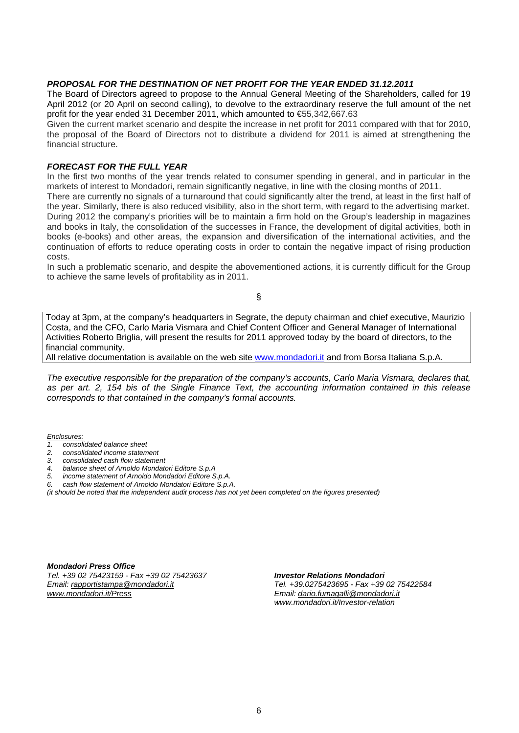## *PROPOSAL FOR THE DESTINATION OF NET PROFIT FOR THE YEAR ENDED 31.12.2011*

The Board of Directors agreed to propose to the Annual General Meeting of the Shareholders, called for 19 April 2012 (or 20 April on second calling), to devolve to the extraordinary reserve the full amount of the net profit for the year ended 31 December 2011, which amounted to €55,342,667.63

Given the current market scenario and despite the increase in net profit for 2011 compared with that for 2010, the proposal of the Board of Directors not to distribute a dividend for 2011 is aimed at strengthening the financial structure.

## *FORECAST FOR THE FULL YEAR*

In the first two months of the year trends related to consumer spending in general, and in particular in the markets of interest to Mondadori, remain significantly negative, in line with the closing months of 2011.

There are currently no signals of a turnaround that could significantly alter the trend, at least in the first half of the year. Similarly, there is also reduced visibility, also in the short term, with regard to the advertising market. During 2012 the company's priorities will be to maintain a firm hold on the Group's leadership in magazines and books in Italy, the consolidation of the successes in France, the development of digital activities, both in books (e-books) and other areas, the expansion and diversification of the international activities, and the continuation of efforts to reduce operating costs in order to contain the negative impact of rising production costs.

In such a problematic scenario, and despite the abovementioned actions, it is currently difficult for the Group to achieve the same levels of profitability as in 2011.

§

Today at 3pm, at the company's headquarters in Segrate, the deputy chairman and chief executive, Maurizio Costa, and the CFO, Carlo Maria Vismara and Chief Content Officer and General Manager of International Activities Roberto Briglia*,* will present the results for 2011 approved today by the board of directors, to the financial community.

All relative documentation is available on the web site [www.mondadori.it](http://www.mondadori.it/) and from Borsa Italiana S.p.A.

*The executive responsible for the preparation of the company's accounts, Carlo Maria Vismara, declares that, as per art. 2, 154 bis of the Single Finance Text, the accounting information contained in this release corresponds to that contained in the company's formal accounts.* 

*Enclosures:*

- *1. consolidated balance sheet*
- *2. consolidated income statement*
- *3. consolidated cash flow statement*
- *4. balance sheet of Arnoldo Mondatori Editore S.p.A*
- *5. income statement of Arnoldo Mondadori Editore S.p.A.*
- *6. cash flow statement of Arnoldo Mondatori Editore S.p.A.*

*(it should be noted that the independent audit process has not yet been completed on the figures presented)* 

*Mondadori Press Office Tel. +39 02 75423159 - Fax +39 02 75423637 Email: [rapportistampa@mondadori.it](mailto:rapportistampa@mondadori.it) [www.mondadori.it/Press](http://www.mondadori.it/Press)*

*Investor Relations Mondadori* 

*Tel. +39.0275423695 - Fax +39 02 75422584 Email: [dario.fumagalli@mondadori.it](mailto:dario.fumagalli@mondadori.it) www.mondadori.it/Investor-relation*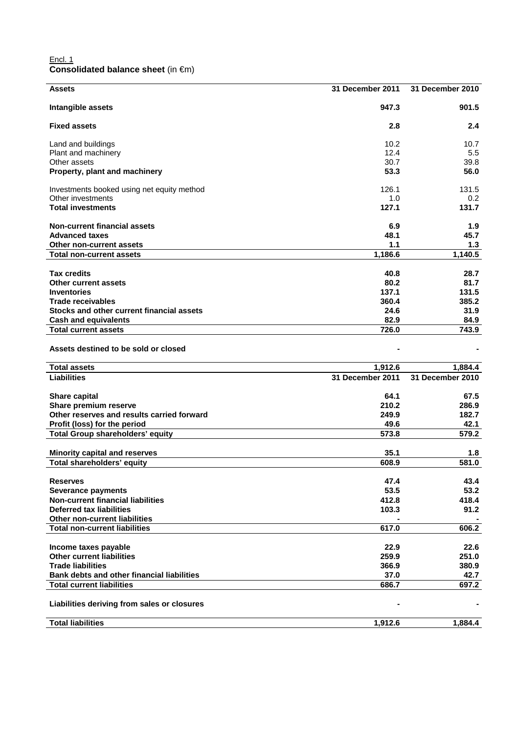### Encl. 1 **Consolidated balance sheet** (in €m)

| <b>Assets</b>                               | <b>31 December 2011</b> | 31 December 2010 |
|---------------------------------------------|-------------------------|------------------|
| Intangible assets                           | 947.3                   | 901.5            |
| <b>Fixed assets</b>                         | 2.8                     | 2.4              |
| Land and buildings                          | 10.2                    | 10.7             |
| Plant and machinery                         | 12.4                    | 5.5              |
| Other assets                                | 30.7                    | 39.8             |
| Property, plant and machinery               | 53.3                    | 56.0             |
| Investments booked using net equity method  | 126.1                   | 131.5            |
| Other investments                           | 1.0                     | 0.2              |
| <b>Total investments</b>                    | 127.1                   | 131.7            |
| <b>Non-current financial assets</b>         | 6.9                     | 1.9              |
| <b>Advanced taxes</b>                       | 48.1                    | 45.7             |
| Other non-current assets                    | 1.1                     | 1.3              |
| <b>Total non-current assets</b>             | 1,186.6                 | 1,140.5          |
|                                             |                         |                  |
| <b>Tax credits</b>                          | 40.8                    | 28.7             |
| <b>Other current assets</b>                 | 80.2                    | 81.7             |
| <b>Inventories</b>                          | 137.1                   | 131.5            |
| <b>Trade receivables</b>                    | 360.4                   | 385.2            |
| Stocks and other current financial assets   | 24.6                    | 31.9             |
| <b>Cash and equivalents</b>                 | 82.9                    | 84.9             |
| <b>Total current assets</b>                 | 726.0                   | 743.9            |
| Assets destined to be sold or closed        |                         |                  |
| <b>Total assets</b>                         | 1,912.6                 | 1,884.4          |
| <b>Liabilities</b>                          | 31 December 2011        | 31 December 2010 |
| <b>Share capital</b>                        | 64.1                    | 67.5             |
| Share premium reserve                       | 210.2                   | 286.9            |
| Other reserves and results carried forward  | 249.9                   | 182.7            |
| Profit (loss) for the period                | 49.6                    | 42.1             |
| <b>Total Group shareholders' equity</b>     | 573.8                   | 579.2            |
| <b>Minority capital and reserves</b>        | 35.1                    | 1.8              |
| <b>Total shareholders' equity</b>           | 608.9                   | 581.0            |
|                                             |                         |                  |
| <b>Reserves</b>                             | 47.4                    | 43.4             |
| <b>Severance payments</b>                   | 53.5                    | 53.2             |
| <b>Non-current financial liabilities</b>    | 412.8                   | 418.4            |
| <b>Deferred tax liabilities</b>             | 103.3                   | 91.2             |
| Other non-current liabilities               |                         |                  |
| <b>Total non-current liabilities</b>        | 617.0                   | 606.2            |
|                                             |                         |                  |
| Income taxes payable                        | 22.9                    | 22.6             |
| <b>Other current liabilities</b>            | 259.9                   | 251.0            |
| <b>Trade liabilities</b>                    | 366.9                   | 380.9            |
| Bank debts and other financial liabilities  | 37.0                    | 42.7             |
| <b>Total current liabilities</b>            | 686.7                   | 697.2            |
| Liabilities deriving from sales or closures |                         |                  |
| <b>Total liabilities</b>                    | 1,912.6                 | 1,884.4          |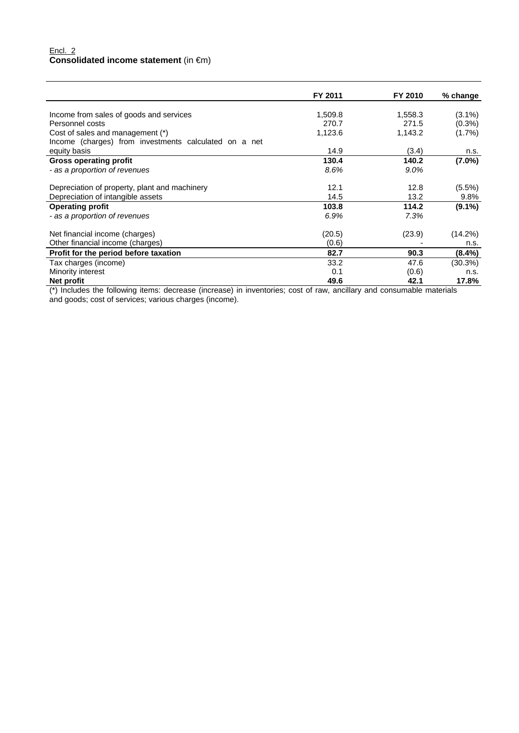### Encl. 2 **Consolidated income statement** (in €m)

|                                                       | FY 2011 | FY 2010 | % change  |
|-------------------------------------------------------|---------|---------|-----------|
|                                                       |         |         |           |
| Income from sales of goods and services               | 1,509.8 | 1,558.3 | $(3.1\%)$ |
| Personnel costs                                       | 270.7   | 271.5   | $(0.3\%)$ |
| Cost of sales and management (*)                      | 1,123.6 | 1,143.2 | $(1.7\%)$ |
| Income (charges) from investments calculated on a net |         |         |           |
| equity basis                                          | 14.9    | (3.4)   | n.s.      |
| <b>Gross operating profit</b>                         | 130.4   | 140.2   | $(7.0\%)$ |
| - as a proportion of revenues                         | 8.6%    | $9.0\%$ |           |
| Depreciation of property, plant and machinery         | 12.1    | 12.8    | (5.5%)    |
| Depreciation of intangible assets                     | 14.5    | 13.2    | 9.8%      |
| <b>Operating profit</b>                               | 103.8   | 114.2   | $(9.1\%)$ |
| - as a proportion of revenues                         | 6.9%    | 7.3%    |           |
| Net financial income (charges)                        | (20.5)  | (23.9)  | (14.2%)   |
| Other financial income (charges)                      | (0.6)   |         | n.s.      |
| Profit for the period before taxation                 | 82.7    | 90.3    | (8.4%)    |
| Tax charges (income)                                  | 33.2    | 47.6    | (30.3%)   |
| Minority interest                                     | 0.1     | (0.6)   | n.s.      |
| Net profit                                            | 49.6    | 42.1    | 17.8%     |

(\*) Includes the following items: decrease (increase) in inventories; cost of raw, ancillary and consumable materials and goods; cost of services; various charges (income).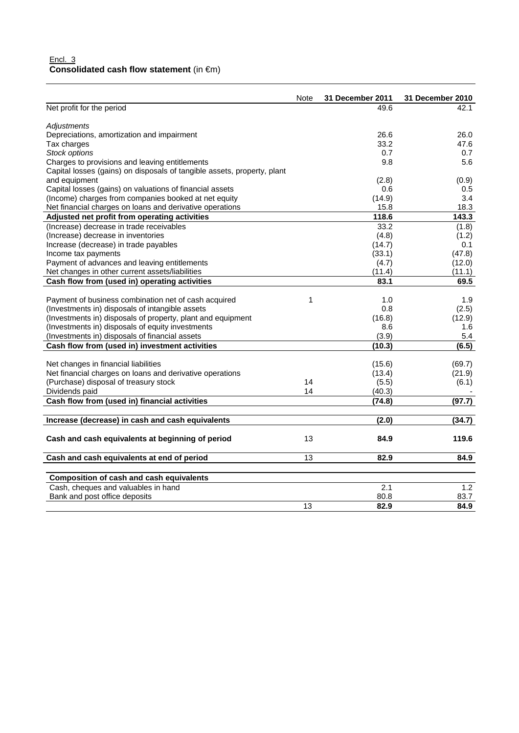## Encl. 3 **Consolidated cash flow statement** (in €m)

|                                                                         | Note | 31 December 2011 | 31 December 2010 |
|-------------------------------------------------------------------------|------|------------------|------------------|
| Net profit for the period                                               |      | 49.6             | 42.1             |
| Adjustments                                                             |      |                  |                  |
| Depreciations, amortization and impairment                              |      | 26.6             | 26.0             |
| Tax charges                                                             |      | 33.2             | 47.6             |
| Stock options                                                           |      | 0.7              | 0.7              |
| Charges to provisions and leaving entitlements                          |      | 9.8              | 5.6              |
| Capital losses (gains) on disposals of tangible assets, property, plant |      |                  |                  |
| and equipment                                                           |      | (2.8)            | (0.9)            |
| Capital losses (gains) on valuations of financial assets                |      | 0.6              | 0.5              |
| (Income) charges from companies booked at net equity                    |      | (14.9)           | 3.4              |
| Net financial charges on loans and derivative operations                |      | 15.8             | 18.3             |
| Adjusted net profit from operating activities                           |      | 118.6            | 143.3            |
| (Increase) decrease in trade receivables                                |      | 33.2             | (1.8)            |
| (Increase) decrease in inventories                                      |      | (4.8)            | (1.2)            |
| Increase (decrease) in trade payables                                   |      | (14.7)           | 0.1              |
| Income tax payments                                                     |      | (33.1)           | (47.8)           |
| Payment of advances and leaving entitlements                            |      | (4.7)            | (12.0)           |
| Net changes in other current assets/liabilities                         |      | (11.4)           | (11.1)           |
| Cash flow from (used in) operating activities                           |      | 83.1             | 69.5             |
|                                                                         |      |                  |                  |
| Payment of business combination net of cash acquired                    | 1    | 1.0              | 1.9              |
| (Investments in) disposals of intangible assets                         |      | 0.8              | (2.5)            |
| (Investments in) disposals of property, plant and equipment             |      | (16.8)           | (12.9)           |
| (Investments in) disposals of equity investments                        |      | 8.6              | 1.6              |
| (Investments in) disposals of financial assets                          |      | (3.9)            | 5.4              |
| Cash flow from (used in) investment activities                          |      | (10.3)           | (6.5)            |
| Net changes in financial liabilities                                    |      | (15.6)           | (69.7)           |
| Net financial charges on loans and derivative operations                |      | (13.4)           | (21.9)           |
| (Purchase) disposal of treasury stock                                   | 14   | (5.5)            | (6.1)            |
| Dividends paid                                                          | 14   | (40.3)           |                  |
| Cash flow from (used in) financial activities                           |      | (74.8)           | (97.7)           |
| Increase (decrease) in cash and cash equivalents                        |      | (2.0)            | (34.7)           |
|                                                                         |      |                  |                  |
| Cash and cash equivalents at beginning of period                        | 13   | 84.9             | 119.6            |
| Cash and cash equivalents at end of period                              | 13   | 82.9             | 84.9             |
| <b>Composition of cash and cash equivalents</b>                         |      |                  |                  |
| Cash, cheques and valuables in hand                                     |      | 2.1              | 1.2              |
| Bank and post office deposits                                           |      | 80.8             | 83.7             |
|                                                                         | 13   | 82.9             | 84.9             |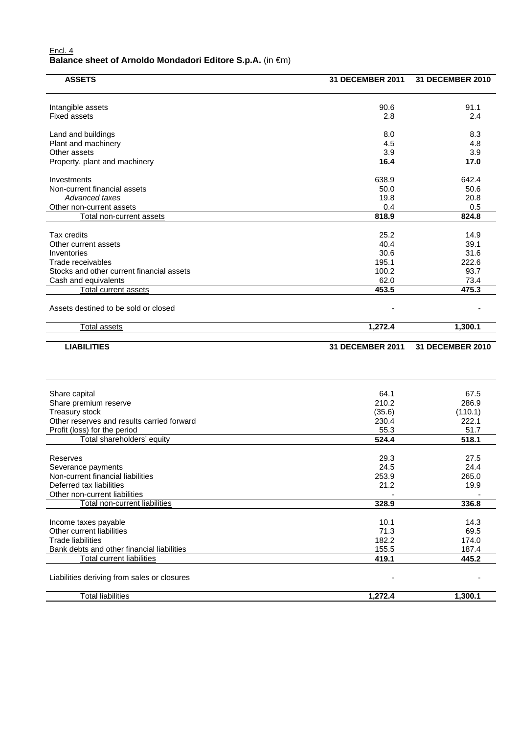#### Encl. 4 **Balance sheet of Arnoldo Mondadori Editore S.p.A.** (in €m)

| <b>ASSETS</b>                                       | 31 DECEMBER 2011 | 31 DECEMBER 2010 |
|-----------------------------------------------------|------------------|------------------|
| Intangible assets                                   | 90.6             | 91.1             |
| <b>Fixed assets</b>                                 | 2.8              | 2.4              |
| Land and buildings                                  | 8.0              | 8.3              |
| Plant and machinery                                 | 4.5              | 4.8              |
| Other assets                                        | 3.9              | 3.9              |
| Property. plant and machinery                       | 16.4             | 17.0             |
| Investments                                         | 638.9            | 642.4            |
| Non-current financial assets                        | 50.0             | 50.6             |
| Advanced taxes                                      | 19.8             | 20.8             |
| Other non-current assets                            | 0.4<br>818.9     | 0.5<br>824.8     |
| Total non-current assets                            |                  |                  |
| Tax credits                                         | 25.2             | 14.9             |
| Other current assets                                | 40.4             | 39.1             |
| Inventories                                         | 30.6             | 31.6             |
| Trade receivables                                   | 195.1            | 222.6            |
| Stocks and other current financial assets           | 100.2<br>62.0    | 93.7<br>73.4     |
| Cash and equivalents<br><b>Total current assets</b> | 453.5            | 475.3            |
|                                                     |                  |                  |
| Assets destined to be sold or closed                |                  |                  |
| <b>Total assets</b>                                 | 1,272.4          | 1,300.1          |
| <b>LIABILITIES</b>                                  | 31 DECEMBER 2011 | 31 DECEMBER 2010 |
|                                                     |                  |                  |
| Share capital                                       | 64.1             | 67.5             |
| Share premium reserve                               | 210.2            | 286.9            |
| Treasury stock                                      | (35.6)           | (110.1)          |
| Other reserves and results carried forward          | 230.4            | 222.1            |
| Profit (loss) for the period                        |                  |                  |
|                                                     | 55.3             | 51.7             |
| Total shareholders' equity                          | 524.4            | 518.1            |
| Reserves                                            | 29.3             | 27.5             |
| Severance payments                                  | 24.5             | 24.4             |
| Non-current financial liabilities                   | 253.9            | 265.0            |
| Deferred tax liabilities                            | 21.2             | 19.9             |
| Other non-current liabilities                       |                  |                  |
| Total non-current liabilities                       | 328.9            | 336.8            |
| Income taxes payable                                | 10.1             | 14.3             |
| Other current liabilities                           | 71.3             | 69.5             |
| <b>Trade liabilities</b>                            | 182.2            | 174.0            |
| Bank debts and other financial liabilities          | 155.5            | 187.4            |
| <b>Total current liabilities</b>                    | 419.1            | 445.2            |
| Liabilities deriving from sales or closures         |                  |                  |
| <b>Total liabilities</b>                            | 1,272.4          | 1,300.1          |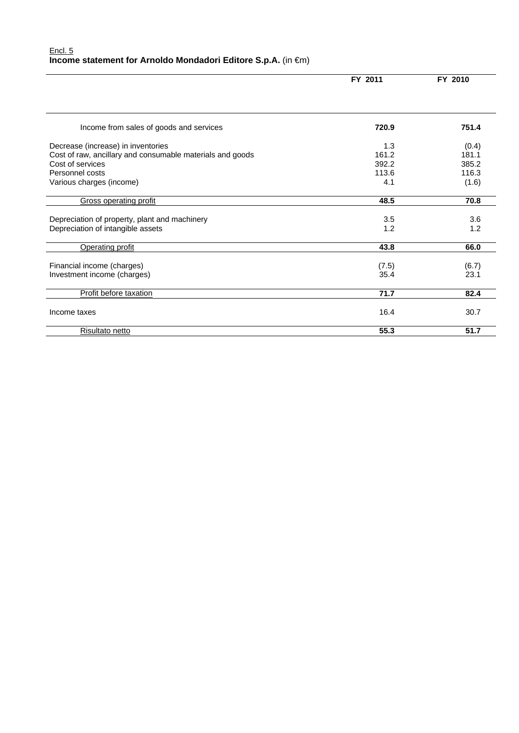|                                                           | FY 2011 | FY 2010 |  |
|-----------------------------------------------------------|---------|---------|--|
|                                                           |         |         |  |
| Income from sales of goods and services                   | 720.9   | 751.4   |  |
| Decrease (increase) in inventories                        | 1.3     | (0.4)   |  |
| Cost of raw, ancillary and consumable materials and goods | 161.2   | 181.1   |  |
| Cost of services                                          | 392.2   | 385.2   |  |
| Personnel costs                                           | 113.6   | 116.3   |  |
| Various charges (income)                                  | 4.1     | (1.6)   |  |
| <b>Gross operating profit</b>                             | 48.5    | 70.8    |  |
| Depreciation of property, plant and machinery             | 3.5     | 3.6     |  |
| Depreciation of intangible assets                         | 1.2     | 1.2     |  |
| Operating profit                                          | 43.8    | 66.0    |  |
| Financial income (charges)                                | (7.5)   | (6.7)   |  |
| Investment income (charges)                               | 35.4    | 23.1    |  |
| Profit before taxation                                    | 71.7    | 82.4    |  |
| Income taxes                                              | 16.4    | 30.7    |  |
| Risultato netto                                           | 55.3    | 51.7    |  |